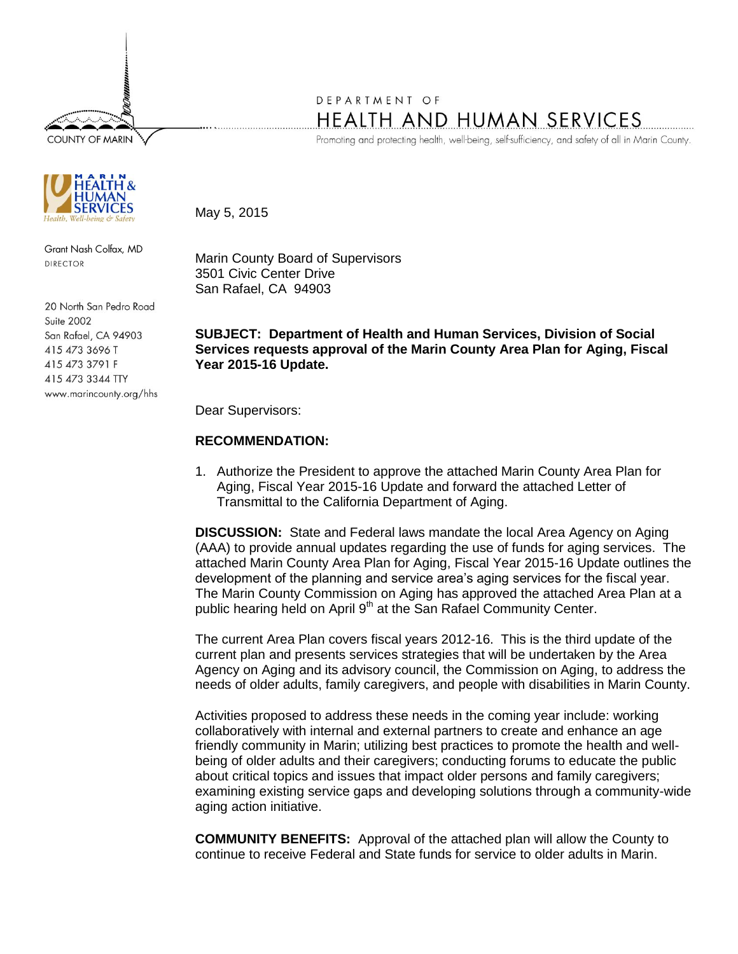**COUNTY OF MARIN** 



Grant Nash Colfax, MD DIRECTOR

20 North San Pedro Road Suite 2002 San Rafael, CA 94903 415 473 3696 T 415 473 3791 F 415 473 3344 TTY www.marincounty.org/hhs

## DEPARTMENT OF **HEALTH AND HUMAN SERVICES**

Promoting and protecting health, well-being, self-sufficiency, and safety of all in Marin County.

May 5, 2015

Marin County Board of Supervisors 3501 Civic Center Drive San Rafael, CA 94903

## **SUBJECT: Department of Health and Human Services, Division of Social Services requests approval of the Marin County Area Plan for Aging, Fiscal Year 2015-16 Update.**

Dear Supervisors:

## **RECOMMENDATION:**

1. Authorize the President to approve the attached Marin County Area Plan for Aging, Fiscal Year 2015-16 Update and forward the attached Letter of Transmittal to the California Department of Aging.

**DISCUSSION:** State and Federal laws mandate the local Area Agency on Aging (AAA) to provide annual updates regarding the use of funds for aging services. The attached Marin County Area Plan for Aging, Fiscal Year 2015-16 Update outlines the development of the planning and service area's aging services for the fiscal year. The Marin County Commission on Aging has approved the attached Area Plan at a public hearing held on April 9<sup>th</sup> at the San Rafael Community Center.

The current Area Plan covers fiscal years 2012-16. This is the third update of the current plan and presents services strategies that will be undertaken by the Area Agency on Aging and its advisory council, the Commission on Aging, to address the needs of older adults, family caregivers, and people with disabilities in Marin County.

Activities proposed to address these needs in the coming year include: working collaboratively with internal and external partners to create and enhance an age friendly community in Marin; utilizing best practices to promote the health and wellbeing of older adults and their caregivers; conducting forums to educate the public about critical topics and issues that impact older persons and family caregivers; examining existing service gaps and developing solutions through a community-wide aging action initiative.

**COMMUNITY BENEFITS:** Approval of the attached plan will allow the County to continue to receive Federal and State funds for service to older adults in Marin.